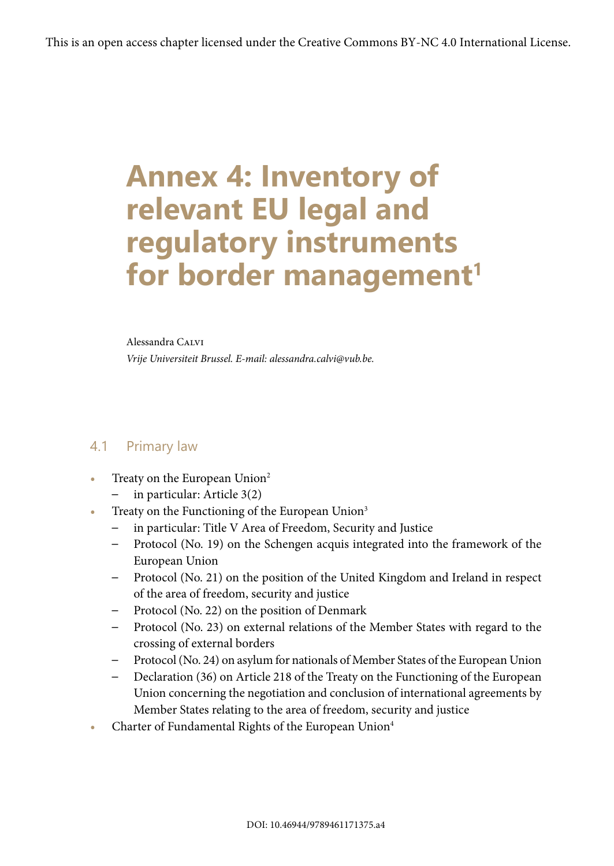# **Annex 4: Inventory of relevant EU legal and regulatory instruments**  for border management<sup>1</sup>

#### Alessandra CALVI

*Vrije Universiteit Brussel. E-mail: alessandra.calvi@vub.be.*

## 4.1 Primary law

- **Treaty on the European Union<sup>2</sup>** 
	- in particular: Article 3(2)
- Treaty on the Functioning of the European Union<sup>3</sup>
	- in particular: Title V Area of Freedom, Security and Justice
	- Protocol (No. 19) on the Schengen acquis integrated into the framework of the European Union
	- Protocol (No. 21) on the position of the United Kingdom and Ireland in respect of the area of freedom, security and justice
	- Protocol (No. 22) on the position of Denmark
	- Protocol (No. 23) on external relations of the Member States with regard to the crossing of external borders
	- Protocol (No. 24) on asylum for nationals of Member States of the European Union
	- Declaration (36) on Article 218 of the Treaty on the Functioning of the European Union concerning the negotiation and conclusion of international agreements by Member States relating to the area of freedom, security and justice
- **•** Charter of Fundamental Rights of the European Union4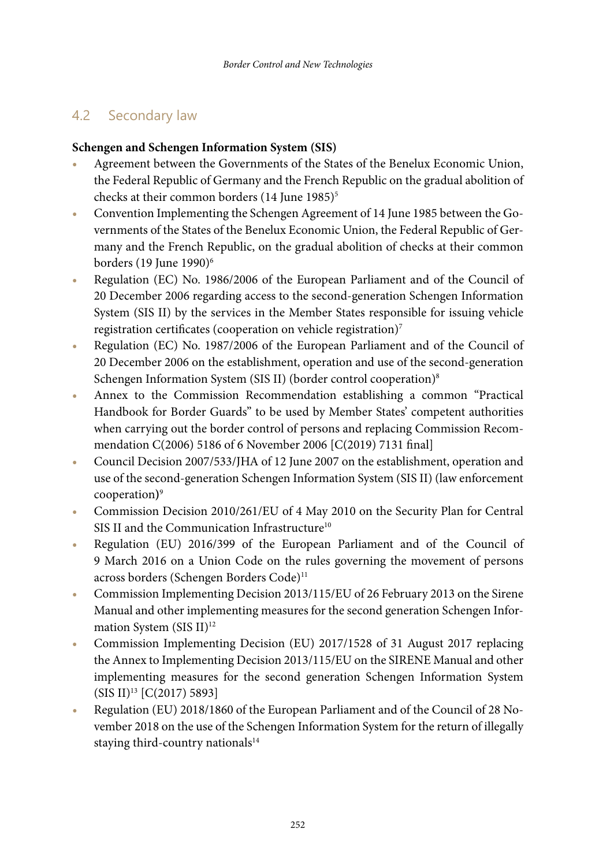# 4.2 Secondary law

## **Schengen and Schengen Information System (SIS)**

- **•** Agreement between the Governments of the States of the Benelux Economic Union, the Federal Republic of Germany and the French Republic on the gradual abolition of checks at their common borders (14 June 1985)<sup>5</sup>
- **•** Convention Implementing the Schengen Agreement of 14 June 1985 between the Governments of the States of the Benelux Economic Union, the Federal Republic of Germany and the French Republic, on the gradual abolition of checks at their common borders (19 June 1990)<sup>6</sup>
- **•** Regulation (EC) No. 1986/2006 of the European Parliament and of the Council of 20 December 2006 regarding access to the second-generation Schengen Information System (SIS II) by the services in the Member States responsible for issuing vehicle registration certificates (cooperation on vehicle registration)<sup>7</sup>
- **•** Regulation (EC) No. 1987/2006 of the European Parliament and of the Council of 20 December 2006 on the establishment, operation and use of the second-generation Schengen Information System (SIS II) (border control cooperation)<sup>8</sup>
- **•** Annex to the Commission Recommendation establishing a common "Practical Handbook for Border Guards" to be used by Member States' competent authorities when carrying out the border control of persons and replacing Commission Recommendation C(2006) 5186 of 6 November 2006 [C(2019) 7131 final]
- **•** Council Decision 2007/533/JHA of 12 June 2007 on the establishment, operation and use of the second-generation Schengen Information System (SIS II) (law enforcement cooperation**)**9
- **•** Commission Decision 2010/261/EU of 4 May 2010 on the Security Plan for Central SIS II and the Communication Infrastructure<sup>10</sup>
- **•** Regulation (EU) 2016/399 of the European Parliament and of the Council of 9 March 2016 on a Union Code on the rules governing the movement of persons across borders (Schengen Borders Code)<sup>11</sup>
- **•** Commission Implementing Decision 2013/115/EU of 26 February 2013 on the Sirene Manual and other implementing measures for the second generation Schengen Information System (SIS II)<sup>12</sup>
- **•** Commission Implementing Decision (EU) 2017/1528 of 31 August 2017 replacing the Annex to Implementing Decision 2013/115/EU on the SIRENE Manual and other implementing measures for the second generation Schengen Information System (SIS II)13 [C(2017) 5893]
- **•** Regulation (EU) 2018/1860 of the European Parliament and of the Council of 28 November 2018 on the use of the Schengen Information System for the return of illegally staying third-country nationals<sup>14</sup>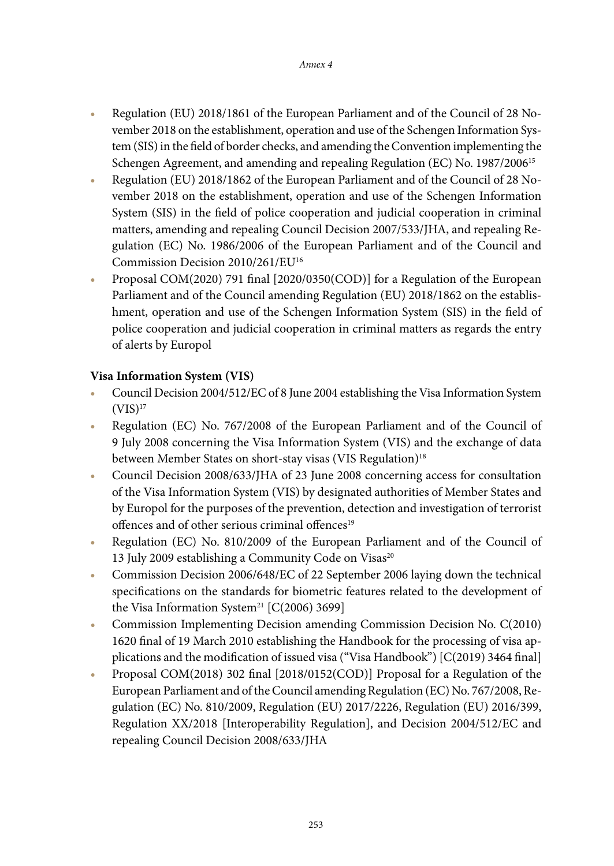- **•** Regulation (EU) 2018/1861 of the European Parliament and of the Council of 28 November 2018 on the establishment, operation and use of the Schengen Information System (SIS) in the field of border checks, and amending the Convention implementing the Schengen Agreement, and amending and repealing Regulation (EC) No. 1987/2006<sup>15</sup>
- **•** Regulation (EU) 2018/1862 of the European Parliament and of the Council of 28 November 2018 on the establishment, operation and use of the Schengen Information System (SIS) in the field of police cooperation and judicial cooperation in criminal matters, amending and repealing Council Decision 2007/533/JHA, and repealing Regulation (EC) No. 1986/2006 of the European Parliament and of the Council and Commission Decision 2010/261/EU16
- **•** Proposal COM(2020) 791 final [2020/0350(COD)] for a Regulation of the European Parliament and of the Council amending Regulation (EU) 2018/1862 on the establishment, operation and use of the Schengen Information System (SIS) in the field of police cooperation and judicial cooperation in criminal matters as regards the entry of alerts by Europol

#### **Visa Information System (VIS)**

- **•** Council Decision 2004/512/EC of 8 June 2004 establishing the Visa Information System  $(VIS)^{17}$
- **•** Regulation (EC) No. 767/2008 of the European Parliament and of the Council of 9 July 2008 concerning the Visa Information System (VIS) and the exchange of data between Member States on short-stay visas (VIS Regulation)<sup>18</sup>
- **•** Council Decision 2008/633/JHA of 23 June 2008 concerning access for consultation of the Visa Information System (VIS) by designated authorities of Member States and by Europol for the purposes of the prevention, detection and investigation of terrorist offences and of other serious criminal offences<sup>19</sup>
- **•** Regulation (EC) No. 810/2009 of the European Parliament and of the Council of 13 July 2009 establishing a Community Code on Visas<sup>20</sup>
- **•** Commission Decision 2006/648/EC of 22 September 2006 laying down the technical specifications on the standards for biometric features related to the development of the Visa Information System<sup>21</sup> [C(2006) 3699]
- **•** Commission Implementing Decision amending Commission Decision No. C(2010) 1620 final of 19 March 2010 establishing the Handbook for the processing of visa applications and the modification of issued visa ("Visa Handbook") [C(2019) 3464 final]
- **•** Proposal COM(2018) 302 final [2018/0152(COD)] Proposal for a Regulation of the European Parliament and of the Council amending Regulation (EC) No. 767/2008, Regulation (EC) No. 810/2009, Regulation (EU) 2017/2226, Regulation (EU) 2016/399, Regulation XX/2018 [Interoperability Regulation], and Decision 2004/512/EC and repealing Council Decision 2008/633/JHA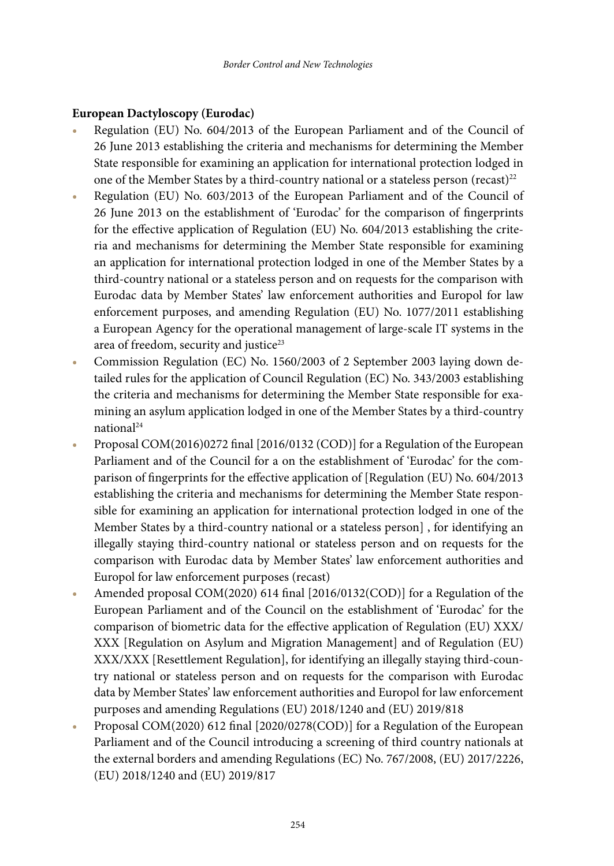#### **European Dactyloscopy (Eurodac)**

- **•** Regulation (EU) No. 604/2013 of the European Parliament and of the Council of 26 June 2013 establishing the criteria and mechanisms for determining the Member State responsible for examining an application for international protection lodged in one of the Member States by a third-country national or a stateless person (recast)<sup>22</sup>
- **•** Regulation (EU) No. 603/2013 of the European Parliament and of the Council of 26 June 2013 on the establishment of 'Eurodac' for the comparison of fingerprints for the effective application of Regulation (EU) No. 604/2013 establishing the criteria and mechanisms for determining the Member State responsible for examining an application for international protection lodged in one of the Member States by a third-country national or a stateless person and on requests for the comparison with Eurodac data by Member States' law enforcement authorities and Europol for law enforcement purposes, and amending Regulation (EU) No. 1077/2011 establishing a European Agency for the operational management of large-scale IT systems in the area of freedom, security and justice<sup>23</sup>
- **•** Commission Regulation (EC) No. 1560/2003 of 2 September 2003 laying down detailed rules for the application of Council Regulation (EC) No. 343/2003 establishing the criteria and mechanisms for determining the Member State responsible for examining an asylum application lodged in one of the Member States by a third-country national<sup>24</sup>
- **•** Proposal COM(2016)0272 final [2016/0132 (COD)] for a Regulation of the European Parliament and of the Council for a on the establishment of 'Eurodac' for the comparison of fingerprints for the effective application of [Regulation (EU) No. 604/2013 establishing the criteria and mechanisms for determining the Member State responsible for examining an application for international protection lodged in one of the Member States by a third-country national or a stateless person] , for identifying an illegally staying third-country national or stateless person and on requests for the comparison with Eurodac data by Member States' law enforcement authorities and Europol for law enforcement purposes (recast)
- **•** Amended proposal COM(2020) 614 final [2016/0132(COD)] for a Regulation of the European Parliament and of the Council on the establishment of 'Eurodac' for the comparison of biometric data for the effective application of Regulation (EU) XXX/ XXX [Regulation on Asylum and Migration Management] and of Regulation (EU) XXX/XXX [Resettlement Regulation], for identifying an illegally staying third-country national or stateless person and on requests for the comparison with Eurodac data by Member States' law enforcement authorities and Europol for law enforcement purposes and amending Regulations (EU) 2018/1240 and (EU) 2019/818
- **•** Proposal COM(2020) 612 final [2020/0278(COD)] for a Regulation of the European Parliament and of the Council introducing a screening of third country nationals at the external borders and amending Regulations (EC) No. 767/2008, (EU) 2017/2226, (EU) 2018/1240 and (EU) 2019/817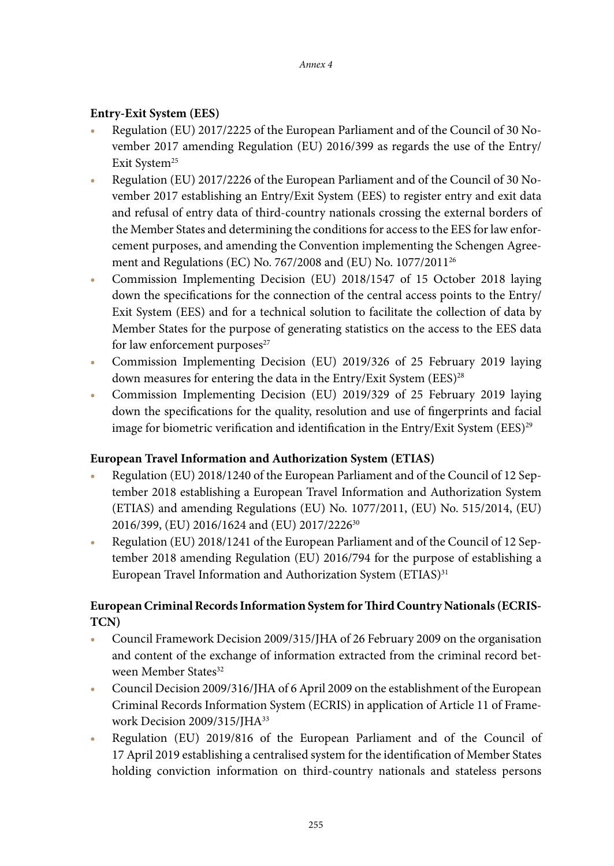## **Entry-Exit System (EES)**

- **•** Regulation (EU) 2017/2225 of the European Parliament and of the Council of 30 November 2017 amending Regulation (EU) 2016/399 as regards the use of the Entry/ Exit System<sup>25</sup>
- **•** Regulation (EU) 2017/2226 of the European Parliament and of the Council of 30 November 2017 establishing an Entry/Exit System (EES) to register entry and exit data and refusal of entry data of third-country nationals crossing the external borders of the Member States and determining the conditions for access to the EES for law enforcement purposes, and amending the Convention implementing the Schengen Agreement and Regulations (EC) No. 767/2008 and (EU) No. 1077/201126
- **•** Commission Implementing Decision (EU) 2018/1547 of 15 October 2018 laying down the specifications for the connection of the central access points to the Entry/ Exit System (EES) and for a technical solution to facilitate the collection of data by Member States for the purpose of generating statistics on the access to the EES data for law enforcement purposes $27$
- **•** Commission Implementing Decision (EU) 2019/326 of 25 February 2019 laying down measures for entering the data in the Entry/Exit System (EES)<sup>28</sup>
- **•** Commission Implementing Decision (EU) 2019/329 of 25 February 2019 laying down the specifications for the quality, resolution and use of fingerprints and facial image for biometric verification and identification in the Entry/Exit System (EES) $^{29}$

#### **European Travel Information and Authorization System (ETIAS)**

- **•** Regulation (EU) 2018/1240 of the European Parliament and of the Council of 12 September 2018 establishing a European Travel Information and Authorization System (ETIAS) and amending Regulations (EU) No. 1077/2011, (EU) No. 515/2014, (EU) 2016/399, (EU) 2016/1624 and (EU) 2017/222630
- **•** Regulation (EU) 2018/1241 of the European Parliament and of the Council of 12 September 2018 amending Regulation (EU) 2016/794 for the purpose of establishing a European Travel Information and Authorization System (ETIAS)<sup>31</sup>

# **European Criminal Records Information System for Third Country Nationals (ECRIS-TCN)**

- **•** Council Framework Decision 2009/315/JHA of 26 February 2009 on the organisation and content of the exchange of information extracted from the criminal record between Member States<sup>32</sup>
- **•** Council Decision 2009/316/JHA of 6 April 2009 on the establishment of the European Criminal Records Information System (ECRIS) in application of Article 11 of Framework Decision 2009/315/JHA<sup>33</sup>
- **•** Regulation (EU) 2019/816 of the European Parliament and of the Council of 17 April 2019 establishing a centralised system for the identification of Member States holding conviction information on third-country nationals and stateless persons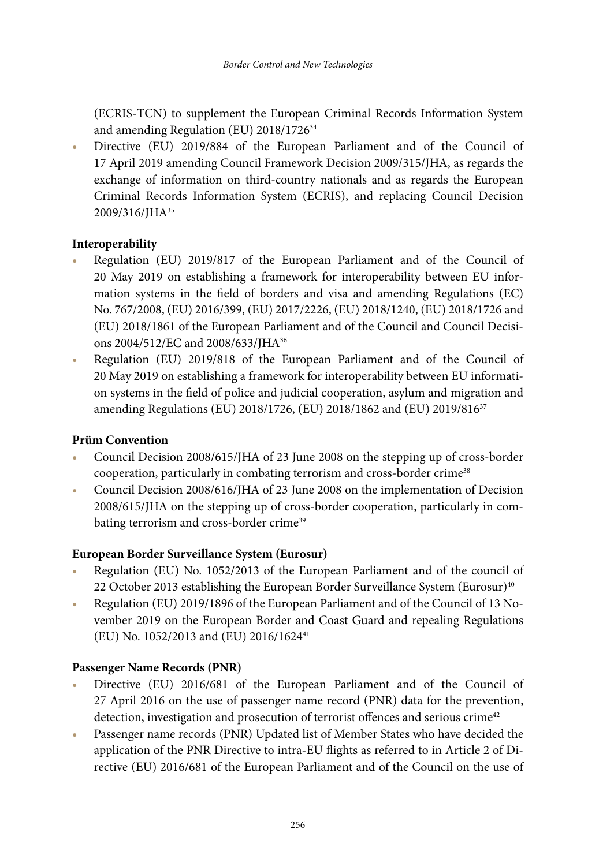(ECRIS-TCN) to supplement the European Criminal Records Information System and amending Regulation (EU) 2018/1726<sup>34</sup>

**•** Directive (EU) 2019/884 of the European Parliament and of the Council of 17 April 2019 amending Council Framework Decision 2009/315/JHA, as regards the exchange of information on third-country nationals and as regards the European Criminal Records Information System (ECRIS), and replacing Council Decision 2009/316/JHA<sup>35</sup>

#### **Interoperability**

- **•** Regulation (EU) 2019/817 of the European Parliament and of the Council of 20 May 2019 on establishing a framework for interoperability between EU information systems in the field of borders and visa and amending Regulations (EC) No. 767/2008, (EU) 2016/399, (EU) 2017/2226, (EU) 2018/1240, (EU) 2018/1726 and (EU) 2018/1861 of the European Parliament and of the Council and Council Decisions 2004/512/EC and 2008/633/JHA36
- **•** Regulation (EU) 2019/818 of the European Parliament and of the Council of 20 May 2019 on establishing a framework for interoperability between EU information systems in the field of police and judicial cooperation, asylum and migration and amending Regulations (EU) 2018/1726, (EU) 2018/1862 and (EU) 2019/816<sup>37</sup>

#### **Prüm Convention**

- **•** Council Decision 2008/615/JHA of 23 June 2008 on the stepping up of cross-border cooperation, particularly in combating terrorism and cross-border crime<sup>38</sup>
- **•** Council Decision 2008/616/JHA of 23 June 2008 on the implementation of Decision 2008/615/JHA on the stepping up of cross-border cooperation, particularly in combating terrorism and cross-border crime<sup>39</sup>

#### **European Border Surveillance System (Eurosur)**

- **•** Regulation (EU) No. 1052/2013 of the European Parliament and of the council of 22 October 2013 establishing the European Border Surveillance System (Eurosur)<sup>40</sup>
- **•** Regulation (EU) 2019/1896 of the European Parliament and of the Council of 13 November 2019 on the European Border and Coast Guard and repealing Regulations (EU) No. 1052/2013 and (EU) 2016/162441

#### **Passenger Name Records (PNR)**

- **•** Directive (EU) 2016/681 of the European Parliament and of the Council of 27 April 2016 on the use of passenger name record (PNR) data for the prevention, detection, investigation and prosecution of terrorist offences and serious crime<sup>42</sup>
- **•** Passenger name records (PNR) Updated list of Member States who have decided the application of the PNR Directive to intra-EU flights as referred to in Article 2 of Directive (EU) 2016/681 of the European Parliament and of the Council on the use of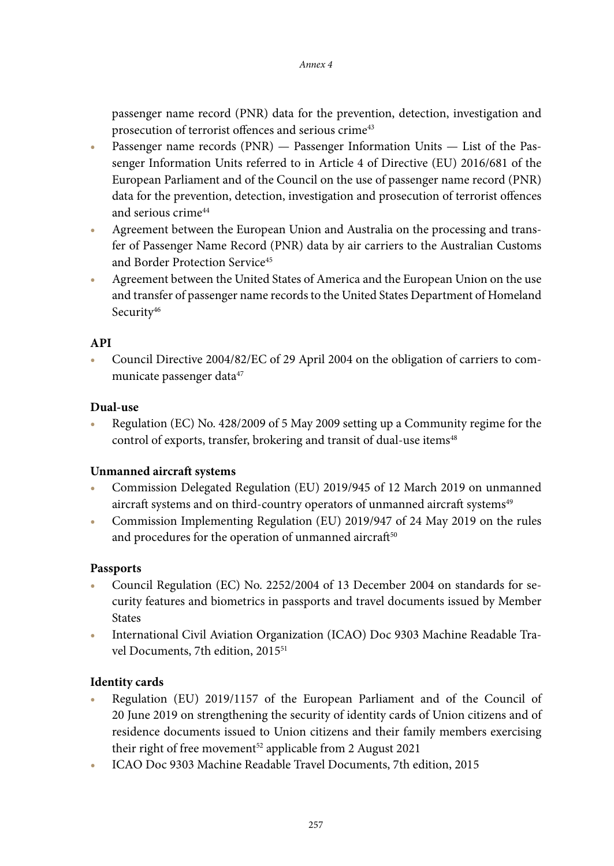passenger name record (PNR) data for the prevention, detection, investigation and prosecution of terrorist offences and serious crime<sup>43</sup>

- **•** Passenger name records (PNR) Passenger Information Units List of the Passenger Information Units referred to in Article 4 of Directive (EU) 2016/681 of the European Parliament and of the Council on the use of passenger name record (PNR) data for the prevention, detection, investigation and prosecution of terrorist offences and serious crime44
- **•** Agreement between the European Union and Australia on the processing and transfer of Passenger Name Record (PNR) data by air carriers to the Australian Customs and Border Protection Service<sup>45</sup>
- **•** Agreement between the United States of America and the European Union on the use and transfer of passenger name records to the United States Department of Homeland Security<sup>46</sup>

#### **API**

**•** Council Directive 2004/82/EC of 29 April 2004 on the obligation of carriers to communicate passenger data<sup>47</sup>

#### **Dual-use**

**•** Regulation (EC) No. 428/2009 of 5 May 2009 setting up a Community regime for the control of exports, transfer, brokering and transit of dual-use items<sup>48</sup>

#### **Unmanned aircraft systems**

- **•** Commission Delegated Regulation (EU) 2019/945 of 12 March 2019 on unmanned aircraft systems and on third-country operators of unmanned aircraft systems<sup>49</sup>
- **•** Commission Implementing Regulation (EU) 2019/947 of 24 May 2019 on the rules and procedures for the operation of unmanned aircraft<sup>50</sup>

#### **Passports**

- **•** Council Regulation (EC) No. 2252/2004 of 13 December 2004 on standards for security features and biometrics in passports and travel documents issued by Member States
- **•** International Civil Aviation Organization (ICAO) Doc 9303 Machine Readable Travel Documents, 7th edition, 2015<sup>51</sup>

#### **Identity cards**

- **•** Regulation (EU) 2019/1157 of the European Parliament and of the Council of 20 June 2019 on strengthening the security of identity cards of Union citizens and of residence documents issued to Union citizens and their family members exercising their right of free movement<sup>52</sup> applicable from 2 August 2021
- **•** ICAO Doc 9303 Machine Readable Travel Documents, 7th edition, 2015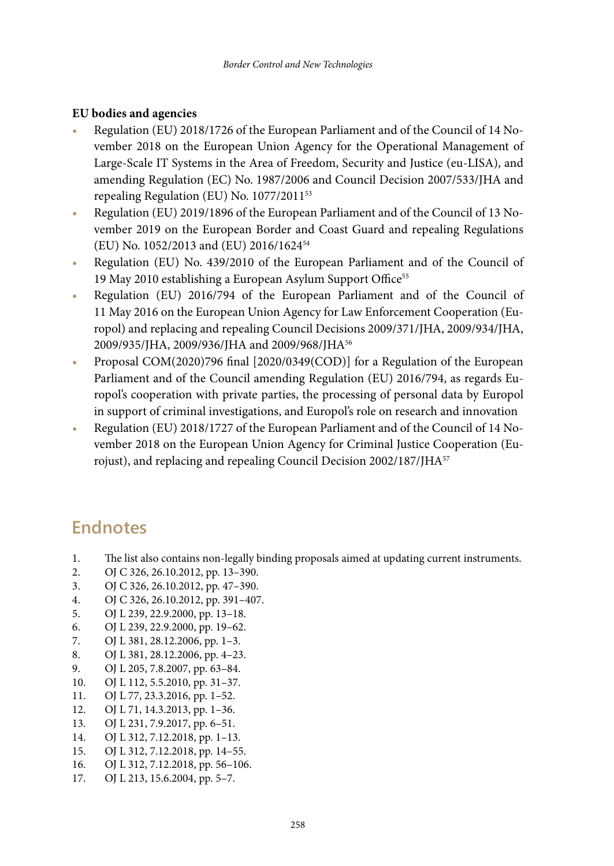#### **EU bodies and agencies**

- **•** Regulation (EU) 2018/1726 of the European Parliament and of the Council of 14 November 2018 on the European Union Agency for the Operational Management of Large-Scale IT Systems in the Area of Freedom, Security and Justice (eu-LISA), and amending Regulation (EC) No. 1987/2006 and Council Decision 2007/533/JHA and repealing Regulation (EU) No. 1077/2011<sup>53</sup>
- **•** Regulation (EU) 2019/1896 of the European Parliament and of the Council of 13 November 2019 on the European Border and Coast Guard and repealing Regulations (EU) No. 1052/2013 and (EU) 2016/162454
- **•** Regulation (EU) No. 439/2010 of the European Parliament and of the Council of 19 May 2010 establishing a European Asylum Support Office<sup>55</sup>
- **•** Regulation (EU) 2016/794 of the European Parliament and of the Council of 11 May 2016 on the European Union Agency for Law Enforcement Cooperation (Europol) and replacing and repealing Council Decisions 2009/371/JHA, 2009/934/JHA, 2009/935/JHA, 2009/936/JHA and 2009/968/JHA56
- **•** Proposal COM(2020)796 final [2020/0349(COD)] for a Regulation of the European Parliament and of the Council amending Regulation (EU) 2016/794, as regards Europol's cooperation with private parties, the processing of personal data by Europol in support of criminal investigations, and Europol's role on research and innovation
- **•** Regulation (EU) 2018/1727 of the European Parliament and of the Council of 14 November 2018 on the European Union Agency for Criminal Justice Cooperation (Eurojust), and replacing and repealing Council Decision 2002/187/JHA<sup>57</sup>

# **Endnotes**

- 1. The list also contains non-legally binding proposals aimed at updating current instruments.
- 2. OJ C 326, 26.10.2012, pp. 13–390.
- 3. OJ C 326, 26.10.2012, pp. 47–390.
- 4. OJ C 326, 26.10.2012, pp. 391–407.
- 5. OJ L 239, 22.9.2000, pp. 13–18.
- 6. OJ L 239, 22.9.2000, pp. 19–62.
- 7. OJ L 381, 28.12.2006, pp. 1–3.
- 8. OJ L 381, 28.12.2006, pp. 4–23.
- 9. OJ L 205, 7.8.2007, pp. 63–84.
- 10. OJ L 112, 5.5.2010, pp. 31–37.
- 11. OJ L 77, 23.3.2016, pp. 1–52.
- 12. OJ L 71, 14.3.2013, pp. 1–36.
- 13. OJ L 231, 7.9.2017, pp. 6–51.
- 14. OJ L 312, 7.12.2018, pp. 1–13.
- 15. OJ L 312, 7.12.2018, pp. 14–55.
- 16. OJ L 312, 7.12.2018, pp. 56–106.
- 17. OJ L 213, 15.6.2004, pp. 5–7.